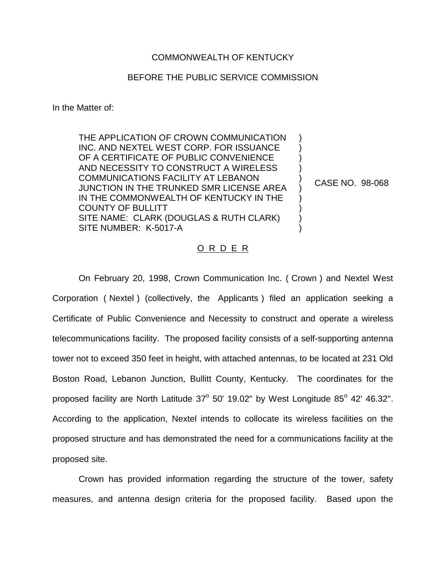## COMMONWEALTH OF KENTUCKY

## BEFORE THE PUBLIC SERVICE COMMISSION

In the Matter of:

THE APPLICATION OF CROWN COMMUNICATION INC. AND NEXTEL WEST CORP. FOR ISSUANCE OF A CERTIFICATE OF PUBLIC CONVENIENCE AND NECESSITY TO CONSTRUCT A WIRELESS COMMUNICATIONS FACILITY AT LEBANON JUNCTION IN THE TRUNKED SMR LICENSE AREA IN THE COMMONWEALTH OF KENTUCKY IN THE COUNTY OF BULLITT SITE NAME: CLARK (DOUGLAS & RUTH CLARK) SITE NUMBER: K-5017-A ) ) )  $\lambda$ ) ) ) ) ) )

CASE NO. 98-068

## O R D E R

On February 20, 1998, Crown Communication Inc. ( Crown ) and Nextel West Corporation ( Nextel ) (collectively, the Applicants ) filed an application seeking a Certificate of Public Convenience and Necessity to construct and operate a wireless telecommunications facility. The proposed facility consists of a self-supporting antenna tower not to exceed 350 feet in height, with attached antennas, to be located at 231 Old Boston Road, Lebanon Junction, Bullitt County, Kentucky. The coordinates for the proposed facility are North Latitude  $37^{\circ}$  50' 19.02" by West Longitude  $85^{\circ}$  42' 46.32". According to the application, Nextel intends to collocate its wireless facilities on the proposed structure and has demonstrated the need for a communications facility at the proposed site.

Crown has provided information regarding the structure of the tower, safety measures, and antenna design criteria for the proposed facility. Based upon the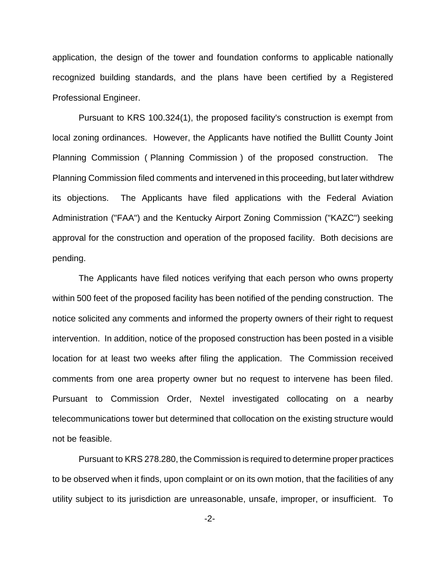application, the design of the tower and foundation conforms to applicable nationally recognized building standards, and the plans have been certified by a Registered Professional Engineer.

Pursuant to KRS 100.324(1), the proposed facility's construction is exempt from local zoning ordinances. However, the Applicants have notified the Bullitt County Joint Planning Commission ( Planning Commission ) of the proposed construction. The Planning Commission filed comments and intervened in this proceeding, but later withdrew its objections. The Applicants have filed applications with the Federal Aviation Administration ("FAA") and the Kentucky Airport Zoning Commission ("KAZC") seeking approval for the construction and operation of the proposed facility. Both decisions are pending.

The Applicants have filed notices verifying that each person who owns property within 500 feet of the proposed facility has been notified of the pending construction. The notice solicited any comments and informed the property owners of their right to request intervention. In addition, notice of the proposed construction has been posted in a visible location for at least two weeks after filing the application. The Commission received comments from one area property owner but no request to intervene has been filed. Pursuant to Commission Order, Nextel investigated collocating on a nearby telecommunications tower but determined that collocation on the existing structure would not be feasible.

Pursuant to KRS 278.280, the Commission is required to determine proper practices to be observed when it finds, upon complaint or on its own motion, that the facilities of any utility subject to its jurisdiction are unreasonable, unsafe, improper, or insufficient. To

-2-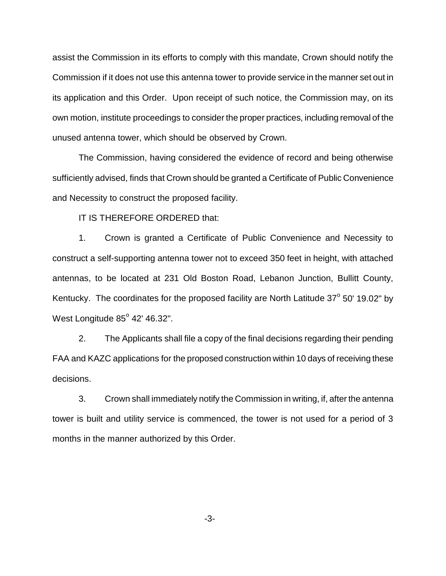assist the Commission in its efforts to comply with this mandate, Crown should notify the Commission if it does not use this antenna tower to provide service in the manner set out in its application and this Order. Upon receipt of such notice, the Commission may, on its own motion, institute proceedings to consider the proper practices, including removal of the unused antenna tower, which should be observed by Crown.

The Commission, having considered the evidence of record and being otherwise sufficiently advised, finds that Crown should be granted a Certificate of Public Convenience and Necessity to construct the proposed facility.

IT IS THEREFORE ORDERED that:

1. Crown is granted a Certificate of Public Convenience and Necessity to construct a self-supporting antenna tower not to exceed 350 feet in height, with attached antennas, to be located at 231 Old Boston Road, Lebanon Junction, Bullitt County, Kentucky. The coordinates for the proposed facility are North Latitude  $37^{\circ}$  50' 19.02" by West Longitude  $85^{\circ}$  42' 46.32".

2. The Applicants shall file a copy of the final decisions regarding their pending FAA and KAZC applications for the proposed construction within 10 days of receiving these decisions.

3. Crown shall immediately notify the Commission in writing, if, after the antenna tower is built and utility service is commenced, the tower is not used for a period of 3 months in the manner authorized by this Order.

-3-